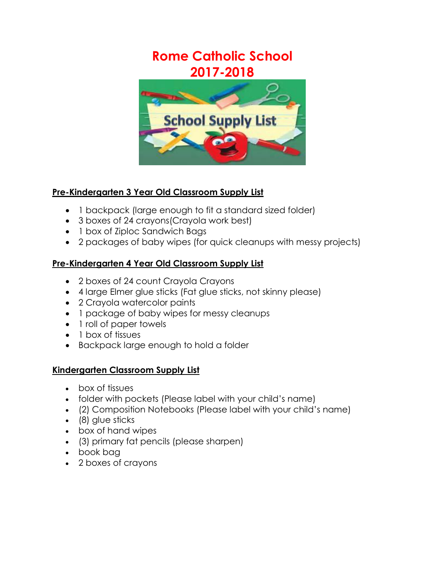# **Rome Catholic School 2017-2018**



### **Pre-Kindergarten 3 Year Old Classroom Supply List**

- 1 backpack (large enough to fit a standard sized folder)
- 3 boxes of 24 crayons(Crayola work best)
- 1 box of Ziploc Sandwich Bags
- 2 packages of baby wipes (for quick cleanups with messy projects)

### **Pre-Kindergarten 4 Year Old Classroom Supply List**

- 2 boxes of 24 count Crayola Crayons
- 4 large Elmer glue sticks (Fat glue sticks, not skinny please)
- 2 Crayola watercolor paints
- 1 package of baby wipes for messy cleanups
- 1 roll of paper towels
- 1 box of tissues
- Backpack large enough to hold a folder

### **Kindergarten Classroom Supply List**

- box of tissues
- folder with pockets (Please label with your child's name)
- (2) Composition Notebooks (Please label with your child's name)
- (8) glue sticks
- box of hand wipes
- (3) primary fat pencils (please sharpen)
- book bag
- 2 boxes of crayons